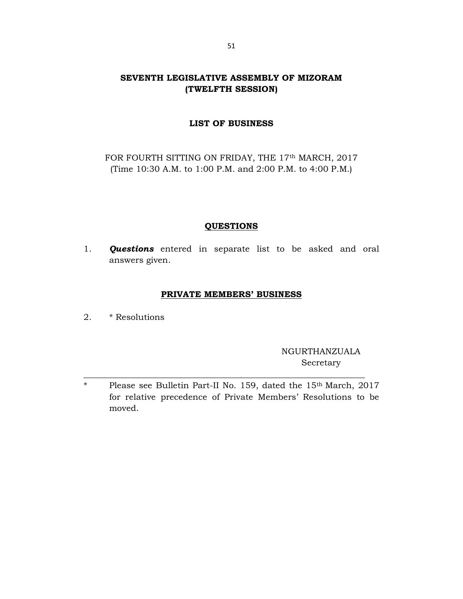# SEVENTH LEGISLATIVE ASSEMBLY OF MIZORAM (TWELFTH SESSION)

## LIST OF BUSINESS

FOR FOURTH SITTING ON FRIDAY, THE 17th MARCH, 2017 (Time 10:30 A.M. to 1:00 P.M. and 2:00 P.M. to 4:00 P.M.)

## **QUESTIONS**

1. **Questions** entered in separate list to be asked and oral answers given.

#### PRIVATE MEMBERS' BUSINESS

2. \* Resolutions

NGURTHANZUALA Secretary

\* Please see Bulletin Part-II No. 159, dated the 15th March, 2017 for relative precedence of Private Members' Resolutions to be moved.

\_\_\_\_\_\_\_\_\_\_\_\_\_\_\_\_\_\_\_\_\_\_\_\_\_\_\_\_\_\_\_\_\_\_\_\_\_\_\_\_\_\_\_\_\_\_\_\_\_\_\_\_\_\_\_\_\_\_\_\_\_\_\_\_\_\_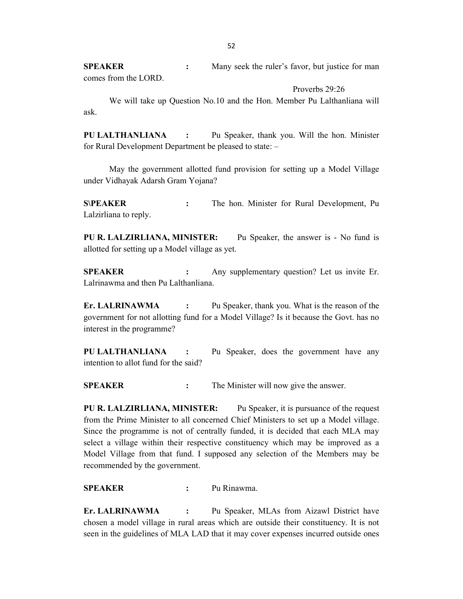SPEAKER : Many seek the ruler's favor, but justice for man comes from the LORD.

Proverbs 29:26

 We will take up Question No.10 and the Hon. Member Pu Lalthanliana will ask.

PU LALTHANLIANA : Pu Speaker, thank you. Will the hon. Minister for Rural Development Department be pleased to state: –

 May the government allotted fund provision for setting up a Model Village under Vidhayak Adarsh Gram Yojana?

S\PEAKER : The hon. Minister for Rural Development, Pu Lalzirliana to reply.

PU R. LALZIRLIANA, MINISTER: Pu Speaker, the answer is - No fund is allotted for setting up a Model village as yet.

**SPEAKER** : Any supplementary question? Let us invite Er. Lalrinawma and then Pu Lalthanliana.

Er. LALRINAWMA : Pu Speaker, thank you. What is the reason of the government for not allotting fund for a Model Village? Is it because the Govt. has no interest in the programme?

PU LALTHANLIANA : Pu Speaker, does the government have any intention to allot fund for the said?

**SPEAKER** : The Minister will now give the answer.

PU R. LALZIRLIANA, MINISTER: Pu Speaker, it is pursuance of the request from the Prime Minister to all concerned Chief Ministers to set up a Model village. Since the programme is not of centrally funded, it is decided that each MLA may select a village within their respective constituency which may be improved as a Model Village from that fund. I supposed any selection of the Members may be recommended by the government.

SPEAKER : Pu Rinawma.

Er. LALRINAWMA : Pu Speaker, MLAs from Aizawl District have chosen a model village in rural areas which are outside their constituency. It is not seen in the guidelines of MLA LAD that it may cover expenses incurred outside ones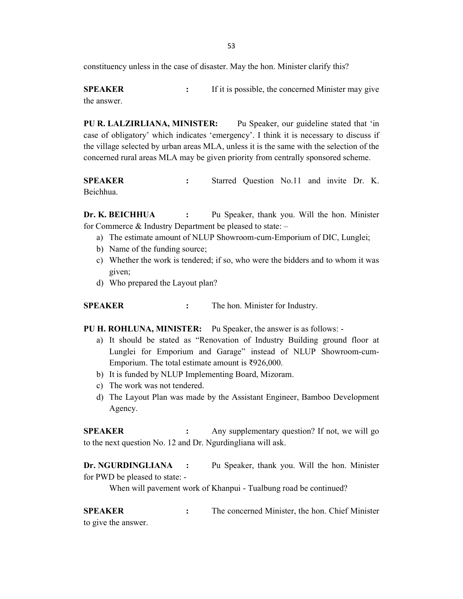constituency unless in the case of disaster. May the hon. Minister clarify this?

**SPEAKER** : If it is possible, the concerned Minister may give the answer.

PU R. LALZIRLIANA, MINISTER: Pu Speaker, our guideline stated that 'in case of obligatory' which indicates 'emergency'. I think it is necessary to discuss if the village selected by urban areas MLA, unless it is the same with the selection of the concerned rural areas MLA may be given priority from centrally sponsored scheme.

SPEAKER : Starred Question No.11 and invite Dr. K. Beichhua.

Dr. K. BEICHHUA : Pu Speaker, thank you. Will the hon. Minister for Commerce & Industry Department be pleased to state: –

- a) The estimate amount of NLUP Showroom-cum-Emporium of DIC, Lunglei;
- b) Name of the funding source;
- c) Whether the work is tendered; if so, who were the bidders and to whom it was given;
- d) Who prepared the Layout plan?

SPEAKER : The hon. Minister for Industry.

PU H. ROHLUNA, MINISTER: Pu Speaker, the answer is as follows: -

- a) It should be stated as "Renovation of Industry Building ground floor at Lunglei for Emporium and Garage" instead of NLUP Showroom-cum-Emporium. The total estimate amount is ₹926,000.
- b) It is funded by NLUP Implementing Board, Mizoram.
- c) The work was not tendered.
- d) The Layout Plan was made by the Assistant Engineer, Bamboo Development Agency.

**SPEAKER** : Any supplementary question? If not, we will go to the next question No. 12 and Dr. Ngurdingliana will ask.

Dr. NGURDINGLIANA : Pu Speaker, thank you. Will the hon. Minister for PWD be pleased to state: -

When will pavement work of Khanpui - Tualbung road be continued?

SPEAKER : The concerned Minister, the hon. Chief Minister to give the answer.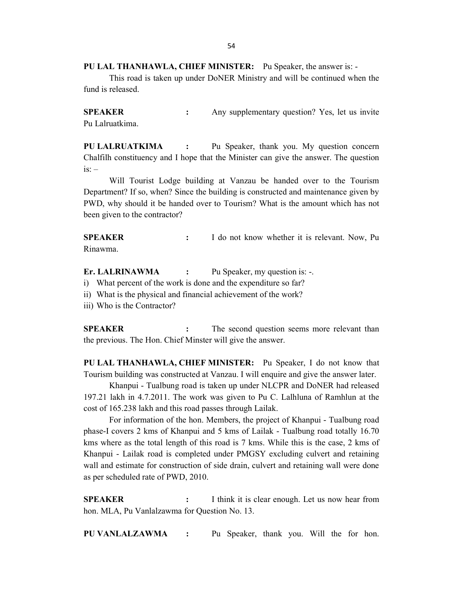PU LAL THANHAWLA, CHIEF MINISTER: Pu Speaker, the answer is: -

 This road is taken up under DoNER Ministry and will be continued when the fund is released.

SPEAKER : Any supplementary question? Yes, let us invite Pu Lalruatkima.

PU LALRUATKIMA : Pu Speaker, thank you. My question concern Chalfilh constituency and I hope that the Minister can give the answer. The question  $is: -$ 

 Will Tourist Lodge building at Vanzau be handed over to the Tourism Department? If so, when? Since the building is constructed and maintenance given by PWD, why should it be handed over to Tourism? What is the amount which has not been given to the contractor?

**SPEAKER** : I do not know whether it is relevant. Now, Pu Rinawma.

Er. LALRINAWMA : Pu Speaker, my question is: -.

- i) What percent of the work is done and the expenditure so far?
- ii) What is the physical and financial achievement of the work?
- iii) Who is the Contractor?

SPEAKER : The second question seems more relevant than the previous. The Hon. Chief Minster will give the answer.

PU LAL THANHAWLA, CHIEF MINISTER: Pu Speaker, I do not know that Tourism building was constructed at Vanzau. I will enquire and give the answer later.

 Khanpui - Tualbung road is taken up under NLCPR and DoNER had released 197.21 lakh in 4.7.2011. The work was given to Pu C. Lalhluna of Ramhlun at the cost of 165.238 lakh and this road passes through Lailak.

 For information of the hon. Members, the project of Khanpui - Tualbung road phase-I covers 2 kms of Khanpui and 5 kms of Lailak - Tualbung road totally 16.70 kms where as the total length of this road is 7 kms. While this is the case, 2 kms of Khanpui - Lailak road is completed under PMGSY excluding culvert and retaining wall and estimate for construction of side drain, culvert and retaining wall were done as per scheduled rate of PWD, 2010.

SPEAKER : I think it is clear enough. Let us now hear from hon. MLA, Pu Vanlalzawma for Question No. 13.

PU VANLALZAWMA : Pu Speaker, thank you. Will the for hon.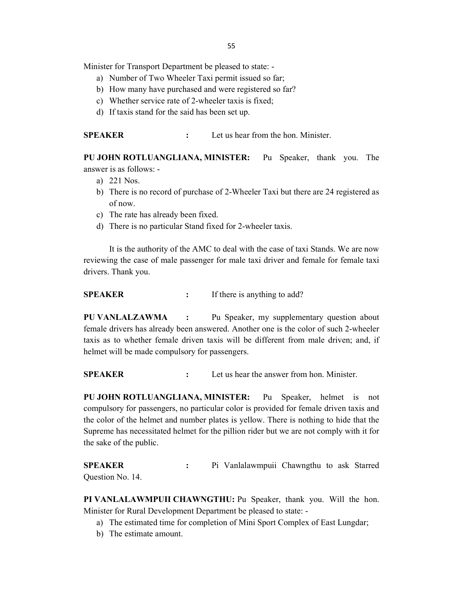Minister for Transport Department be pleased to state: -

- a) Number of Two Wheeler Taxi permit issued so far;
- b) How many have purchased and were registered so far?
- c) Whether service rate of 2-wheeler taxis is fixed;
- d) If taxis stand for the said has been set up.

SPEAKER : Let us hear from the hon. Minister.

PU JOHN ROTLUANGLIANA, MINISTER: Pu Speaker, thank you. The answer is as follows: -

- a) 221 Nos.
- b) There is no record of purchase of 2-Wheeler Taxi but there are 24 registered as of now.
- c) The rate has already been fixed.
- d) There is no particular Stand fixed for 2-wheeler taxis.

 It is the authority of the AMC to deal with the case of taxi Stands. We are now reviewing the case of male passenger for male taxi driver and female for female taxi drivers. Thank you.

SPEAKER : If there is anything to add?

PU VANLALZAWMA : Pu Speaker, my supplementary question about female drivers has already been answered. Another one is the color of such 2-wheeler taxis as to whether female driven taxis will be different from male driven; and, if helmet will be made compulsory for passengers.

SPEAKER : Let us hear the answer from hon. Minister.

PU JOHN ROTLUANGLIANA, MINISTER: Pu Speaker, helmet is not compulsory for passengers, no particular color is provided for female driven taxis and the color of the helmet and number plates is yellow. There is nothing to hide that the Supreme has necessitated helmet for the pillion rider but we are not comply with it for the sake of the public.

SPEAKER : Pi Vanlalawmpuii Chawngthu to ask Starred Question No. 14.

PI VANLALAWMPUII CHAWNGTHU: Pu Speaker, thank you. Will the hon. Minister for Rural Development Department be pleased to state: -

- a) The estimated time for completion of Mini Sport Complex of East Lungdar;
- b) The estimate amount.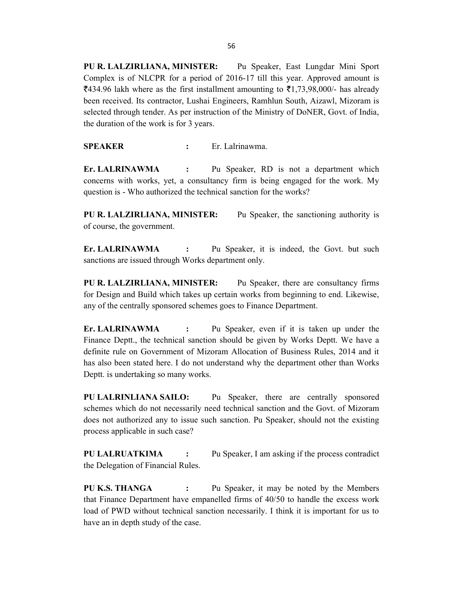PU R. LALZIRLIANA, MINISTER: Pu Speaker, East Lungdar Mini Sport Complex is of NLCPR for a period of 2016-17 till this year. Approved amount is  $\overline{\xi}$ 434.96 lakh where as the first installment amounting to  $\overline{\xi}$ 1,73,98,000/- has already been received. Its contractor, Lushai Engineers, Ramhlun South, Aizawl, Mizoram is selected through tender. As per instruction of the Ministry of DoNER, Govt. of India, the duration of the work is for 3 years.

SPEAKER : Er. Lalrinawma.

Er. LALRINAWMA : Pu Speaker, RD is not a department which concerns with works, yet, a consultancy firm is being engaged for the work. My question is - Who authorized the technical sanction for the works?

PU R. LALZIRLIANA, MINISTER: Pu Speaker, the sanctioning authority is of course, the government.

Er. LALRINAWMA : Pu Speaker, it is indeed, the Govt. but such sanctions are issued through Works department only.

PU R. LALZIRLIANA, MINISTER: Pu Speaker, there are consultancy firms for Design and Build which takes up certain works from beginning to end. Likewise, any of the centrally sponsored schemes goes to Finance Department.

Er. LALRINAWMA : Pu Speaker, even if it is taken up under the Finance Deptt., the technical sanction should be given by Works Deptt. We have a definite rule on Government of Mizoram Allocation of Business Rules, 2014 and it has also been stated here. I do not understand why the department other than Works Deptt. is undertaking so many works.

PU LALRINLIANA SAILO: Pu Speaker, there are centrally sponsored schemes which do not necessarily need technical sanction and the Govt. of Mizoram does not authorized any to issue such sanction. Pu Speaker, should not the existing process applicable in such case?

PU LALRUATKIMA : Pu Speaker, I am asking if the process contradict the Delegation of Financial Rules.

PU K.S. THANGA : Pu Speaker, it may be noted by the Members that Finance Department have empanelled firms of 40/50 to handle the excess work load of PWD without technical sanction necessarily. I think it is important for us to have an in depth study of the case.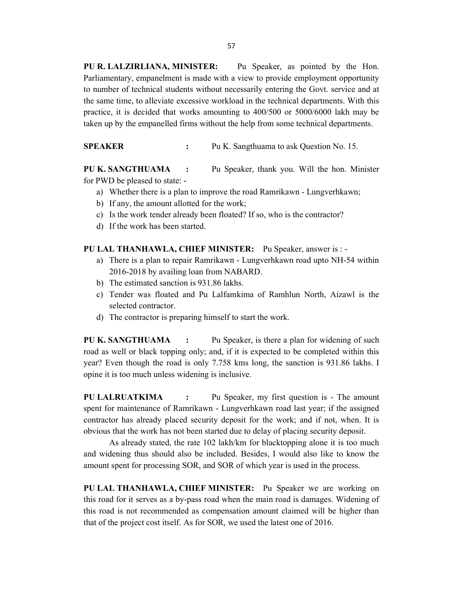PU R. LALZIRLIANA, MINISTER: Pu Speaker, as pointed by the Hon. Parliamentary, empanelment is made with a view to provide employment opportunity to number of technical students without necessarily entering the Govt. service and at the same time, to alleviate excessive workload in the technical departments. With this practice, it is decided that works amounting to 400/500 or 5000/6000 lakh may be taken up by the empanelled firms without the help from some technical departments.

SPEAKER : Pu K. Sangthuama to ask Question No. 15.

PU K. SANGTHUAMA : Pu Speaker, thank you. Will the hon. Minister for PWD be pleased to state: -

- a) Whether there is a plan to improve the road Ramrikawn Lungverhkawn;
- b) If any, the amount allotted for the work;
- c) Is the work tender already been floated? If so, who is the contractor?
- d) If the work has been started.

## PU LAL THANHAWLA, CHIEF MINISTER: Pu Speaker, answer is : -

- a) There is a plan to repair Ramrikawn Lungverhkawn road upto NH-54 within 2016-2018 by availing loan from NABARD.
- b) The estimated sanction is 931.86 lakhs.
- c) Tender was floated and Pu Lalfamkima of Ramhlun North, Aizawl is the selected contractor.
- d) The contractor is preparing himself to start the work.

PU K. SANGTHUAMA : Pu Speaker, is there a plan for widening of such road as well or black topping only; and, if it is expected to be completed within this year? Even though the road is only 7.758 kms long, the sanction is 931.86 lakhs. I opine it is too much unless widening is inclusive.

PU LALRUATKIMA : Pu Speaker, my first question is - The amount spent for maintenance of Ramrikawn - Lungverhkawn road last year; if the assigned contractor has already placed security deposit for the work; and if not, when. It is obvious that the work has not been started due to delay of placing security deposit.

 As already stated, the rate 102 lakh/km for blacktopping alone it is too much and widening thus should also be included. Besides, I would also like to know the amount spent for processing SOR, and SOR of which year is used in the process.

PU LAL THANHAWLA, CHIEF MINISTER: Pu Speaker we are working on this road for it serves as a by-pass road when the main road is damages. Widening of this road is not recommended as compensation amount claimed will be higher than that of the project cost itself. As for SOR, we used the latest one of 2016.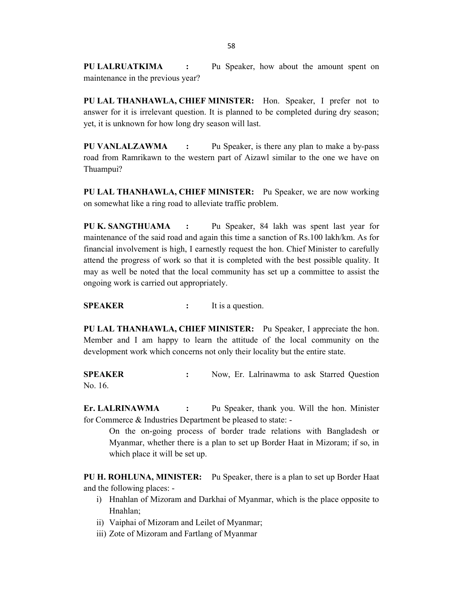PU LALRUATKIMA : Pu Speaker, how about the amount spent on maintenance in the previous year?

PU LAL THANHAWLA, CHIEF MINISTER: Hon. Speaker, I prefer not to answer for it is irrelevant question. It is planned to be completed during dry season; yet, it is unknown for how long dry season will last.

PU VANLALZAWMA : Pu Speaker, is there any plan to make a by-pass road from Ramrikawn to the western part of Aizawl similar to the one we have on Thuampui?

PU LAL THANHAWLA, CHIEF MINISTER: Pu Speaker, we are now working on somewhat like a ring road to alleviate traffic problem.

PU K. SANGTHUAMA : Pu Speaker, 84 lakh was spent last year for maintenance of the said road and again this time a sanction of Rs.100 lakh/km. As for financial involvement is high, I earnestly request the hon. Chief Minister to carefully attend the progress of work so that it is completed with the best possible quality. It may as well be noted that the local community has set up a committee to assist the ongoing work is carried out appropriately.

SPEAKER : It is a question.

PU LAL THANHAWLA, CHIEF MINISTER: Pu Speaker, I appreciate the hon. Member and I am happy to learn the attitude of the local community on the development work which concerns not only their locality but the entire state.

SPEAKER : Now, Er. Lalrinawma to ask Starred Question No. 16.

Er. LALRINAWMA : Pu Speaker, thank you. Will the hon. Minister for Commerce & Industries Department be pleased to state: -

 On the on-going process of border trade relations with Bangladesh or Myanmar, whether there is a plan to set up Border Haat in Mizoram; if so, in which place it will be set up.

PU H. ROHLUNA, MINISTER: Pu Speaker, there is a plan to set up Border Haat and the following places: -

- i) Hnahlan of Mizoram and Darkhai of Myanmar, which is the place opposite to Hnahlan;
- ii) Vaiphai of Mizoram and Leilet of Myanmar;
- iii) Zote of Mizoram and Fartlang of Myanmar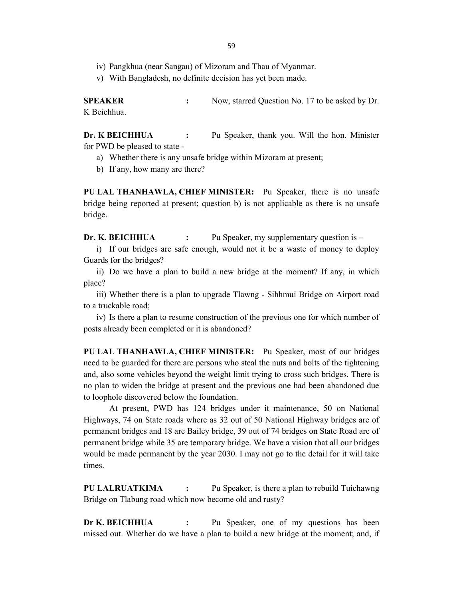- iv) Pangkhua (near Sangau) of Mizoram and Thau of Myanmar.
- v) With Bangladesh, no definite decision has yet been made.

SPEAKER : Now, starred Question No. 17 to be asked by Dr. K Beichhua.

Dr. K BEICHHUA : Pu Speaker, thank you. Will the hon. Minister for PWD be pleased to state -

- a) Whether there is any unsafe bridge within Mizoram at present;
- b) If any, how many are there?

PU LAL THANHAWLA, CHIEF MINISTER: Pu Speaker, there is no unsafe bridge being reported at present; question b) is not applicable as there is no unsafe bridge.

Dr. K. BEICHHUA : Pu Speaker, my supplementary question is –

i) If our bridges are safe enough, would not it be a waste of money to deploy Guards for the bridges?

ii) Do we have a plan to build a new bridge at the moment? If any, in which place?

iii) Whether there is a plan to upgrade Tlawng - Sihhmui Bridge on Airport road to a truckable road;

iv) Is there a plan to resume construction of the previous one for which number of posts already been completed or it is abandoned?

PU LAL THANHAWLA, CHIEF MINISTER: Pu Speaker, most of our bridges need to be guarded for there are persons who steal the nuts and bolts of the tightening and, also some vehicles beyond the weight limit trying to cross such bridges. There is no plan to widen the bridge at present and the previous one had been abandoned due to loophole discovered below the foundation.

 At present, PWD has 124 bridges under it maintenance, 50 on National Highways, 74 on State roads where as 32 out of 50 National Highway bridges are of permanent bridges and 18 are Bailey bridge, 39 out of 74 bridges on State Road are of permanent bridge while 35 are temporary bridge. We have a vision that all our bridges would be made permanent by the year 2030. I may not go to the detail for it will take times.

PU LALRUATKIMA : Pu Speaker, is there a plan to rebuild Tuichawng Bridge on Tlabung road which now become old and rusty?

Dr K. BEICHHUA : Pu Speaker, one of my questions has been missed out. Whether do we have a plan to build a new bridge at the moment; and, if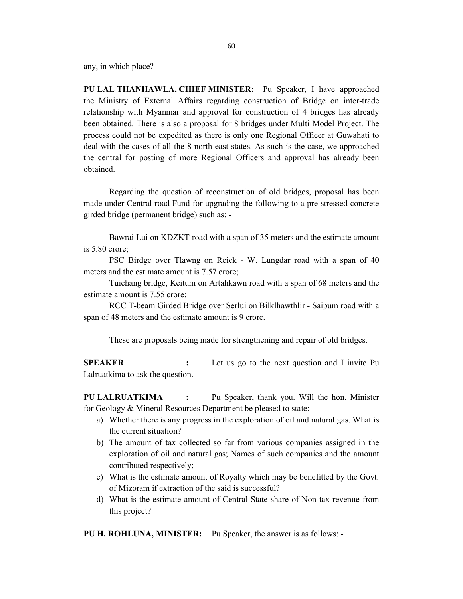any, in which place?

PU LAL THANHAWLA, CHIEF MINISTER: Pu Speaker, I have approached the Ministry of External Affairs regarding construction of Bridge on inter-trade relationship with Myanmar and approval for construction of 4 bridges has already been obtained. There is also a proposal for 8 bridges under Multi Model Project. The process could not be expedited as there is only one Regional Officer at Guwahati to deal with the cases of all the 8 north-east states. As such is the case, we approached the central for posting of more Regional Officers and approval has already been obtained.

 Regarding the question of reconstruction of old bridges, proposal has been made under Central road Fund for upgrading the following to a pre-stressed concrete girded bridge (permanent bridge) such as: -

 Bawrai Lui on KDZKT road with a span of 35 meters and the estimate amount is 5.80 crore;

 PSC Birdge over Tlawng on Reiek - W. Lungdar road with a span of 40 meters and the estimate amount is 7.57 crore;

 Tuichang bridge, Keitum on Artahkawn road with a span of 68 meters and the estimate amount is 7.55 crore;

 RCC T-beam Girded Bridge over Serlui on Bilklhawthlir - Saipum road with a span of 48 meters and the estimate amount is 9 crore.

These are proposals being made for strengthening and repair of old bridges.

SPEAKER : Let us go to the next question and I invite Pu Lalruatkima to ask the question.

PU LALRUATKIMA : Pu Speaker, thank you. Will the hon. Minister for Geology & Mineral Resources Department be pleased to state: -

- a) Whether there is any progress in the exploration of oil and natural gas. What is the current situation?
- b) The amount of tax collected so far from various companies assigned in the exploration of oil and natural gas; Names of such companies and the amount contributed respectively;
- c) What is the estimate amount of Royalty which may be benefitted by the Govt. of Mizoram if extraction of the said is successful?
- d) What is the estimate amount of Central-State share of Non-tax revenue from this project?

PU H. ROHLUNA, MINISTER: Pu Speaker, the answer is as follows: -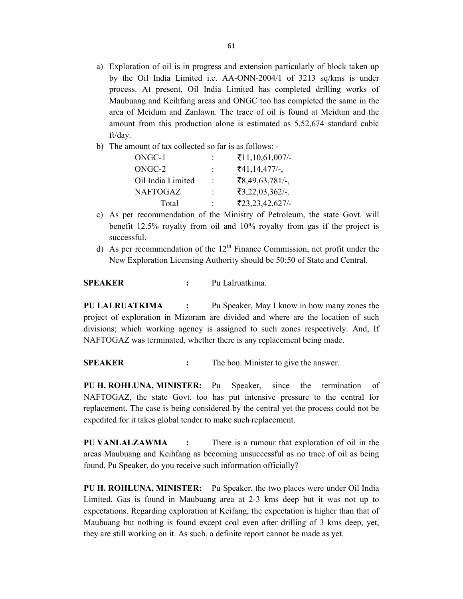- a) Exploration of oil is in progress and extension particularly of block taken up by the Oil India Limited i.e. AA-ONN-2004/1 of 3213 sq/kms is under process. At present, Oil India Limited has completed drilling works of Maubuang and Keihfang areas and ONGC too has completed the same in the area of Meidum and Zanlawn. The trace of oil is found at Meidum and the amount from this production alone is estimated as 5,52,674 standard cubic ft/day.
- b) The amount of tax collected so far is as follows: -

| ONGC-1            |                      | $\bar{5}11, 10, 61, 007$ /-          |
|-------------------|----------------------|--------------------------------------|
| ONGC-2            | $\ddot{\phantom{a}}$ | $\bar{5}41, 14, 477/$ -              |
| Oil India Limited | ٠.                   | $\mathbf{\bar{5}8,49,63,781/-}$      |
| <b>NAFTOGAZ</b>   | $\ddot{\phantom{a}}$ | $\text{\textsterling}3,22,03,362/-.$ |
| Total             |                      | ₹23,23,42,627/-                      |

- c) As per recommendation of the Ministry of Petroleum, the state Govt. will benefit 12.5% royalty from oil and 10% royalty from gas if the project is successful.
- d) As per recommendation of the  $12<sup>th</sup>$  Finance Commission, net profit under the New Exploration Licensing Authority should be 50:50 of State and Central.

SPEAKER : Pu Lalruatkima.

PU LALRUATKIMA : Pu Speaker, May I know in how many zones the project of exploration in Mizoram are divided and where are the location of such divisions; which working agency is assigned to such zones respectively. And, If NAFTOGAZ was terminated, whether there is any replacement being made.

SPEAKER : The hon. Minister to give the answer.

PU H. ROHLUNA, MINISTER: Pu Speaker, since the termination of NAFTOGAZ, the state Govt. too has put intensive pressure to the central for replacement. The case is being considered by the central yet the process could not be expedited for it takes global tender to make such replacement.

PU VANLALZAWMA : There is a rumour that exploration of oil in the areas Maubuang and Keihfang as becoming unsuccessful as no trace of oil as being found. Pu Speaker, do you receive such information officially?

PU H. ROHLUNA, MINISTER: Pu Speaker, the two places were under Oil India Limited. Gas is found in Maubuang area at 2-3 kms deep but it was not up to expectations. Regarding exploration at Keifang, the expectation is higher than that of Maubuang but nothing is found except coal even after drilling of 3 kms deep, yet, they are still working on it. As such, a definite report cannot be made as yet.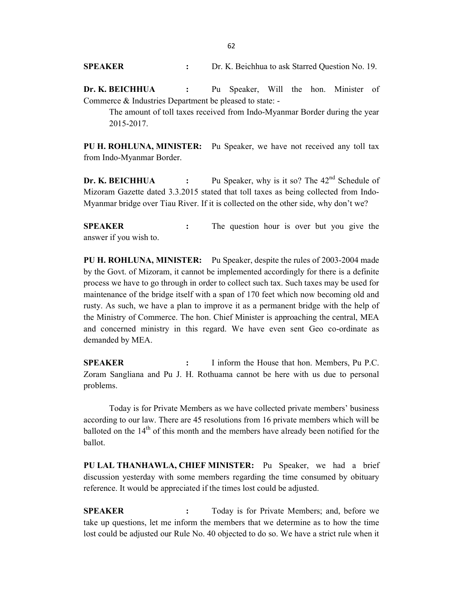SPEAKER : Dr. K. Beichhua to ask Starred Question No. 19.

Dr. K. BEICHHUA : Pu Speaker, Will the hon. Minister of Commerce & Industries Department be pleased to state: -

 The amount of toll taxes received from Indo-Myanmar Border during the year 2015-2017.

PU H. ROHLUNA, MINISTER: Pu Speaker, we have not received any toll tax from Indo-Myanmar Border.

**Dr. K. BEICHHUA** : Pu Speaker, why is it so? The  $42<sup>nd</sup>$  Schedule of Mizoram Gazette dated 3.3.2015 stated that toll taxes as being collected from Indo-Myanmar bridge over Tiau River. If it is collected on the other side, why don't we?

SPEAKER : The question hour is over but you give the answer if you wish to.

PU H. ROHLUNA, MINISTER: Pu Speaker, despite the rules of 2003-2004 made by the Govt. of Mizoram, it cannot be implemented accordingly for there is a definite process we have to go through in order to collect such tax. Such taxes may be used for maintenance of the bridge itself with a span of 170 feet which now becoming old and rusty. As such, we have a plan to improve it as a permanent bridge with the help of the Ministry of Commerce. The hon. Chief Minister is approaching the central, MEA and concerned ministry in this regard. We have even sent Geo co-ordinate as demanded by MEA.

SPEAKER : I inform the House that hon. Members, Pu P.C. Zoram Sangliana and Pu J. H. Rothuama cannot be here with us due to personal problems.

 Today is for Private Members as we have collected private members' business according to our law. There are 45 resolutions from 16 private members which will be balloted on the 14<sup>th</sup> of this month and the members have already been notified for the ballot.

PU LAL THANHAWLA, CHIEF MINISTER: Pu Speaker, we had a brief discussion yesterday with some members regarding the time consumed by obituary reference. It would be appreciated if the times lost could be adjusted.

SPEAKER : Today is for Private Members; and, before we take up questions, let me inform the members that we determine as to how the time lost could be adjusted our Rule No. 40 objected to do so. We have a strict rule when it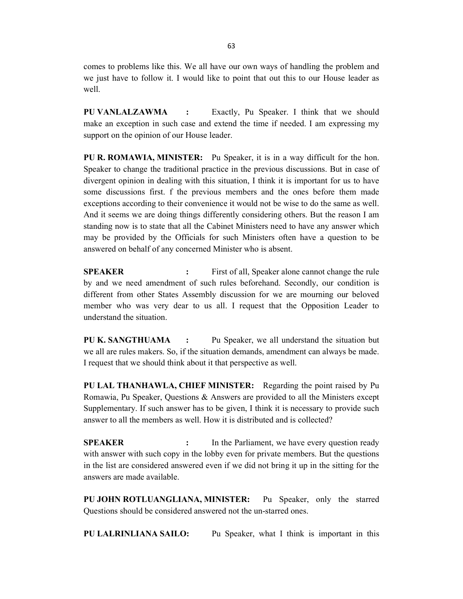comes to problems like this. We all have our own ways of handling the problem and we just have to follow it. I would like to point that out this to our House leader as well.

PU VANLALZAWMA : Exactly, Pu Speaker. I think that we should make an exception in such case and extend the time if needed. I am expressing my support on the opinion of our House leader.

PU R. ROMAWIA, MINISTER: Pu Speaker, it is in a way difficult for the hon. Speaker to change the traditional practice in the previous discussions. But in case of divergent opinion in dealing with this situation, I think it is important for us to have some discussions first. f the previous members and the ones before them made exceptions according to their convenience it would not be wise to do the same as well. And it seems we are doing things differently considering others. But the reason I am standing now is to state that all the Cabinet Ministers need to have any answer which may be provided by the Officials for such Ministers often have a question to be answered on behalf of any concerned Minister who is absent.

**SPEAKER** : First of all, Speaker alone cannot change the rule by and we need amendment of such rules beforehand. Secondly, our condition is different from other States Assembly discussion for we are mourning our beloved member who was very dear to us all. I request that the Opposition Leader to understand the situation.

PU K. SANGTHUAMA : Pu Speaker, we all understand the situation but we all are rules makers. So, if the situation demands, amendment can always be made. I request that we should think about it that perspective as well.

PU LAL THANHAWLA, CHIEF MINISTER: Regarding the point raised by Pu Romawia, Pu Speaker, Questions & Answers are provided to all the Ministers except Supplementary. If such answer has to be given, I think it is necessary to provide such answer to all the members as well. How it is distributed and is collected?

SPEAKER : In the Parliament, we have every question ready with answer with such copy in the lobby even for private members. But the questions in the list are considered answered even if we did not bring it up in the sitting for the answers are made available.

PU JOHN ROTLUANGLIANA, MINISTER: Pu Speaker, only the starred Questions should be considered answered not the un-starred ones.

PU LALRINLIANA SAILO: Pu Speaker, what I think is important in this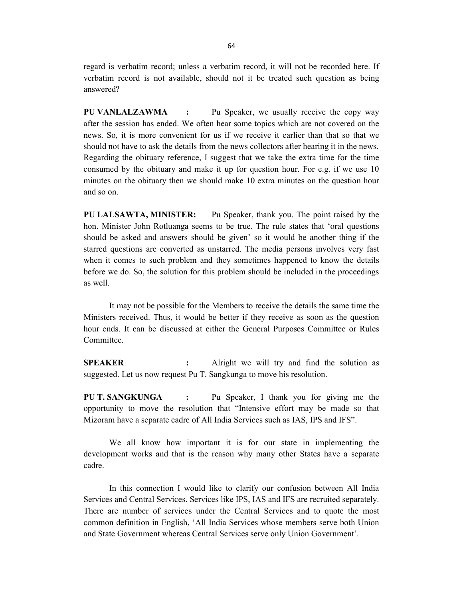regard is verbatim record; unless a verbatim record, it will not be recorded here. If verbatim record is not available, should not it be treated such question as being answered?

PU VANLALZAWMA : Pu Speaker, we usually receive the copy way after the session has ended. We often hear some topics which are not covered on the news. So, it is more convenient for us if we receive it earlier than that so that we should not have to ask the details from the news collectors after hearing it in the news. Regarding the obituary reference, I suggest that we take the extra time for the time consumed by the obituary and make it up for question hour. For e.g. if we use 10 minutes on the obituary then we should make 10 extra minutes on the question hour and so on.

PU LALSAWTA, MINISTER: Pu Speaker, thank you. The point raised by the hon. Minister John Rotluanga seems to be true. The rule states that 'oral questions should be asked and answers should be given' so it would be another thing if the starred questions are converted as unstarred. The media persons involves very fast when it comes to such problem and they sometimes happened to know the details before we do. So, the solution for this problem should be included in the proceedings as well.

 It may not be possible for the Members to receive the details the same time the Ministers received. Thus, it would be better if they receive as soon as the question hour ends. It can be discussed at either the General Purposes Committee or Rules Committee.

SPEAKER : Alright we will try and find the solution as suggested. Let us now request Pu T. Sangkunga to move his resolution.

PU T. SANGKUNGA : Pu Speaker, I thank you for giving me the opportunity to move the resolution that "Intensive effort may be made so that Mizoram have a separate cadre of All India Services such as IAS, IPS and IFS".

 We all know how important it is for our state in implementing the development works and that is the reason why many other States have a separate cadre.

 In this connection I would like to clarify our confusion between All India Services and Central Services. Services like IPS, IAS and IFS are recruited separately. There are number of services under the Central Services and to quote the most common definition in English, 'All India Services whose members serve both Union and State Government whereas Central Services serve only Union Government'.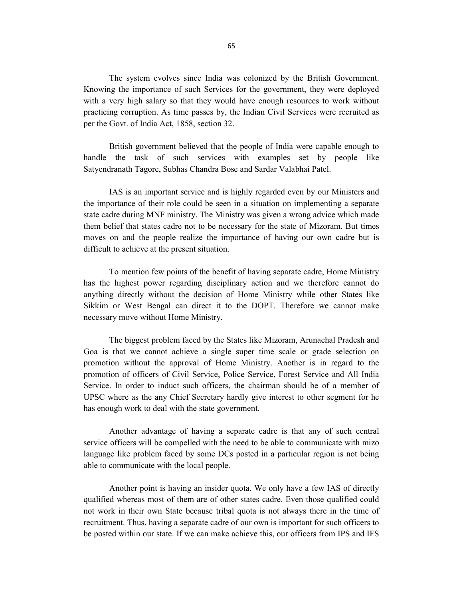The system evolves since India was colonized by the British Government. Knowing the importance of such Services for the government, they were deployed with a very high salary so that they would have enough resources to work without practicing corruption. As time passes by, the Indian Civil Services were recruited as per the Govt. of India Act, 1858, section 32.

 British government believed that the people of India were capable enough to handle the task of such services with examples set by people like Satyendranath Tagore, Subhas Chandra Bose and Sardar Valabhai Patel.

 IAS is an important service and is highly regarded even by our Ministers and the importance of their role could be seen in a situation on implementing a separate state cadre during MNF ministry. The Ministry was given a wrong advice which made them belief that states cadre not to be necessary for the state of Mizoram. But times moves on and the people realize the importance of having our own cadre but is difficult to achieve at the present situation.

 To mention few points of the benefit of having separate cadre, Home Ministry has the highest power regarding disciplinary action and we therefore cannot do anything directly without the decision of Home Ministry while other States like Sikkim or West Bengal can direct it to the DOPT. Therefore we cannot make necessary move without Home Ministry.

 The biggest problem faced by the States like Mizoram, Arunachal Pradesh and Goa is that we cannot achieve a single super time scale or grade selection on promotion without the approval of Home Ministry. Another is in regard to the promotion of officers of Civil Service, Police Service, Forest Service and All India Service. In order to induct such officers, the chairman should be of a member of UPSC where as the any Chief Secretary hardly give interest to other segment for he has enough work to deal with the state government.

 Another advantage of having a separate cadre is that any of such central service officers will be compelled with the need to be able to communicate with mizo language like problem faced by some DCs posted in a particular region is not being able to communicate with the local people.

 Another point is having an insider quota. We only have a few IAS of directly qualified whereas most of them are of other states cadre. Even those qualified could not work in their own State because tribal quota is not always there in the time of recruitment. Thus, having a separate cadre of our own is important for such officers to be posted within our state. If we can make achieve this, our officers from IPS and IFS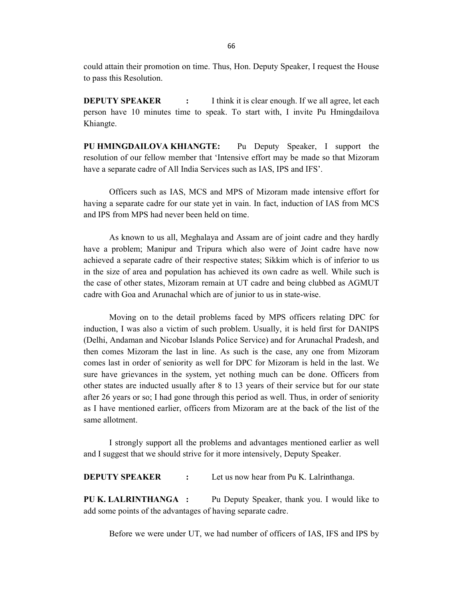could attain their promotion on time. Thus, Hon. Deputy Speaker, I request the House to pass this Resolution.

**DEPUTY SPEAKER** : I think it is clear enough. If we all agree, let each person have 10 minutes time to speak. To start with, I invite Pu Hmingdailova Khiangte.

PU HMINGDAILOVA KHIANGTE: Pu Deputy Speaker, I support the resolution of our fellow member that 'Intensive effort may be made so that Mizoram have a separate cadre of All India Services such as IAS, IPS and IFS'.

 Officers such as IAS, MCS and MPS of Mizoram made intensive effort for having a separate cadre for our state yet in vain. In fact, induction of IAS from MCS and IPS from MPS had never been held on time.

 As known to us all, Meghalaya and Assam are of joint cadre and they hardly have a problem; Manipur and Tripura which also were of Joint cadre have now achieved a separate cadre of their respective states; Sikkim which is of inferior to us in the size of area and population has achieved its own cadre as well. While such is the case of other states, Mizoram remain at UT cadre and being clubbed as AGMUT cadre with Goa and Arunachal which are of junior to us in state-wise.

 Moving on to the detail problems faced by MPS officers relating DPC for induction, I was also a victim of such problem. Usually, it is held first for DANIPS (Delhi, Andaman and Nicobar Islands Police Service) and for Arunachal Pradesh, and then comes Mizoram the last in line. As such is the case, any one from Mizoram comes last in order of seniority as well for DPC for Mizoram is held in the last. We sure have grievances in the system, yet nothing much can be done. Officers from other states are inducted usually after 8 to 13 years of their service but for our state after 26 years or so; I had gone through this period as well. Thus, in order of seniority as I have mentioned earlier, officers from Mizoram are at the back of the list of the same allotment.

 I strongly support all the problems and advantages mentioned earlier as well and I suggest that we should strive for it more intensively, Deputy Speaker.

**DEPUTY SPEAKER** : Let us now hear from Pu K. Lalrinthanga.

PU K. LALRINTHANGA : Pu Deputy Speaker, thank you. I would like to add some points of the advantages of having separate cadre.

Before we were under UT, we had number of officers of IAS, IFS and IPS by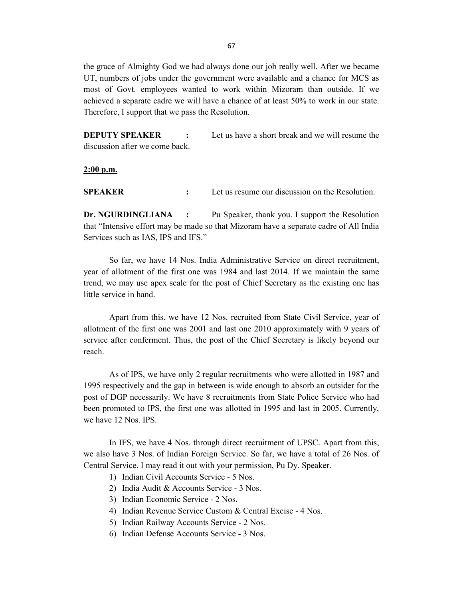the grace of Almighty God we had always done our job really well. After we became UT, numbers of jobs under the government were available and a chance for MCS as most of Govt. employees wanted to work within Mizoram than outside. If we achieved a separate cadre we will have a chance of at least 50% to work in our state. Therefore, I support that we pass the Resolution.

**DEPUTY SPEAKER** : Let us have a short break and we will resume the discussion after we come back.

 $2:00$  p.m.

SPEAKER : Let us resume our discussion on the Resolution.

Dr. NGURDINGLIANA : Pu Speaker, thank you. I support the Resolution that "Intensive effort may be made so that Mizoram have a separate cadre of All India Services such as IAS, IPS and IFS."

 So far, we have 14 Nos. India Administrative Service on direct recruitment, year of allotment of the first one was 1984 and last 2014. If we maintain the same trend, we may use apex scale for the post of Chief Secretary as the existing one has little service in hand.

 Apart from this, we have 12 Nos. recruited from State Civil Service, year of allotment of the first one was 2001 and last one 2010 approximately with 9 years of service after conferment. Thus, the post of the Chief Secretary is likely beyond our reach.

 As of IPS, we have only 2 regular recruitments who were allotted in 1987 and 1995 respectively and the gap in between is wide enough to absorb an outsider for the post of DGP necessarily. We have 8 recruitments from State Police Service who had been promoted to IPS, the first one was allotted in 1995 and last in 2005. Currently, we have 12 Nos. IPS.

 In IFS, we have 4 Nos. through direct recruitment of UPSC. Apart from this, we also have 3 Nos. of Indian Foreign Service. So far, we have a total of 26 Nos. of Central Service. I may read it out with your permission, Pu Dy. Speaker.

1) Indian Civil Accounts Service - 5 Nos.

2) India Audit & Accounts Service - 3 Nos.

3) Indian Economic Service - 2 Nos.

- 4) Indian Revenue Service Custom & Central Excise 4 Nos.
- 5) Indian Railway Accounts Service 2 Nos.
- 6) Indian Defense Accounts Service 3 Nos.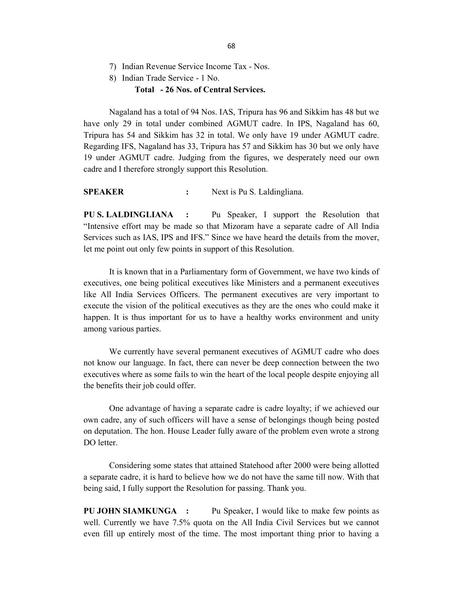- 7) Indian Revenue Service Income Tax Nos.
- 8) Indian Trade Service 1 No.

## Total - 26 Nos. of Central Services.

 Nagaland has a total of 94 Nos. IAS, Tripura has 96 and Sikkim has 48 but we have only 29 in total under combined AGMUT cadre. In IPS, Nagaland has 60, Tripura has 54 and Sikkim has 32 in total. We only have 19 under AGMUT cadre. Regarding IFS, Nagaland has 33, Tripura has 57 and Sikkim has 30 but we only have 19 under AGMUT cadre. Judging from the figures, we desperately need our own cadre and I therefore strongly support this Resolution.

SPEAKER : Next is Pu S. Laldingliana.

PU S. LALDINGLIANA : Pu Speaker, I support the Resolution that "Intensive effort may be made so that Mizoram have a separate cadre of All India Services such as IAS, IPS and IFS." Since we have heard the details from the mover, let me point out only few points in support of this Resolution.

 It is known that in a Parliamentary form of Government, we have two kinds of executives, one being political executives like Ministers and a permanent executives like All India Services Officers. The permanent executives are very important to execute the vision of the political executives as they are the ones who could make it happen. It is thus important for us to have a healthy works environment and unity among various parties.

 We currently have several permanent executives of AGMUT cadre who does not know our language. In fact, there can never be deep connection between the two executives where as some fails to win the heart of the local people despite enjoying all the benefits their job could offer.

 One advantage of having a separate cadre is cadre loyalty; if we achieved our own cadre, any of such officers will have a sense of belongings though being posted on deputation. The hon. House Leader fully aware of the problem even wrote a strong DO letter.

 Considering some states that attained Statehood after 2000 were being allotted a separate cadre, it is hard to believe how we do not have the same till now. With that being said, I fully support the Resolution for passing. Thank you.

PU JOHN SIAMKUNGA : Pu Speaker, I would like to make few points as well. Currently we have 7.5% quota on the All India Civil Services but we cannot even fill up entirely most of the time. The most important thing prior to having a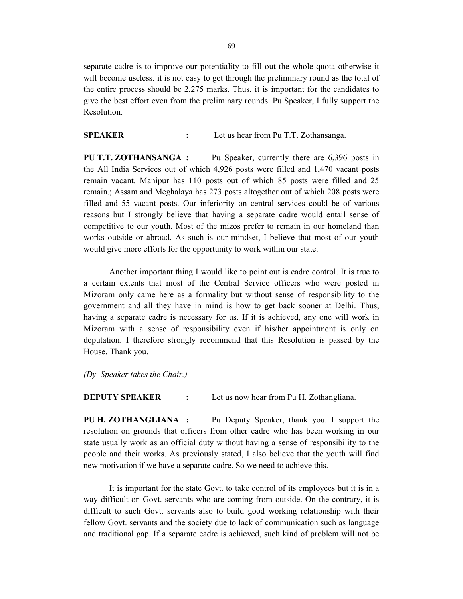separate cadre is to improve our potentiality to fill out the whole quota otherwise it will become useless. it is not easy to get through the preliminary round as the total of the entire process should be 2,275 marks. Thus, it is important for the candidates to give the best effort even from the preliminary rounds. Pu Speaker, I fully support the Resolution.

SPEAKER : Let us hear from Pu T.T. Zothansanga.

PU T.T. ZOTHANSANGA : Pu Speaker, currently there are 6,396 posts in the All India Services out of which 4,926 posts were filled and 1,470 vacant posts remain vacant. Manipur has 110 posts out of which 85 posts were filled and 25 remain.; Assam and Meghalaya has 273 posts altogether out of which 208 posts were filled and 55 vacant posts. Our inferiority on central services could be of various reasons but I strongly believe that having a separate cadre would entail sense of competitive to our youth. Most of the mizos prefer to remain in our homeland than works outside or abroad. As such is our mindset, I believe that most of our youth would give more efforts for the opportunity to work within our state.

 Another important thing I would like to point out is cadre control. It is true to a certain extents that most of the Central Service officers who were posted in Mizoram only came here as a formality but without sense of responsibility to the government and all they have in mind is how to get back sooner at Delhi. Thus, having a separate cadre is necessary for us. If it is achieved, any one will work in Mizoram with a sense of responsibility even if his/her appointment is only on deputation. I therefore strongly recommend that this Resolution is passed by the House. Thank you.

(Dy. Speaker takes the Chair.)

**DEPUTY SPEAKER** : Let us now hear from Pu H. Zothangliana.

PU H. ZOTHANGLIANA : Pu Deputy Speaker, thank you. I support the resolution on grounds that officers from other cadre who has been working in our state usually work as an official duty without having a sense of responsibility to the people and their works. As previously stated, I also believe that the youth will find new motivation if we have a separate cadre. So we need to achieve this.

 It is important for the state Govt. to take control of its employees but it is in a way difficult on Govt. servants who are coming from outside. On the contrary, it is difficult to such Govt. servants also to build good working relationship with their fellow Govt. servants and the society due to lack of communication such as language and traditional gap. If a separate cadre is achieved, such kind of problem will not be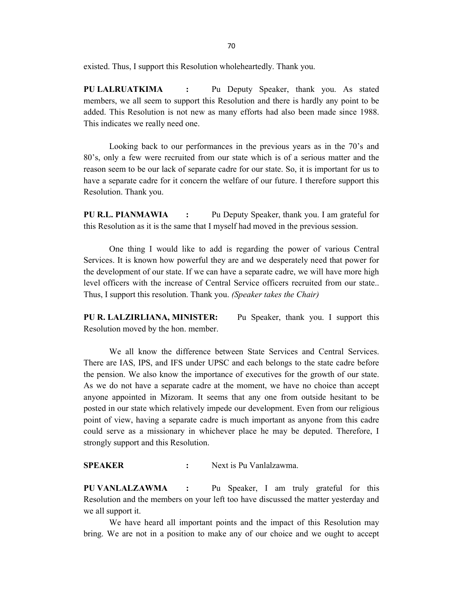existed. Thus, I support this Resolution wholeheartedly. Thank you.

PU LALRUATKIMA : Pu Deputy Speaker, thank you. As stated members, we all seem to support this Resolution and there is hardly any point to be added. This Resolution is not new as many efforts had also been made since 1988. This indicates we really need one.

 Looking back to our performances in the previous years as in the 70's and 80's, only a few were recruited from our state which is of a serious matter and the reason seem to be our lack of separate cadre for our state. So, it is important for us to have a separate cadre for it concern the welfare of our future. I therefore support this Resolution. Thank you.

PU R.L. PIANMAWIA : Pu Deputy Speaker, thank you. I am grateful for this Resolution as it is the same that I myself had moved in the previous session.

 One thing I would like to add is regarding the power of various Central Services. It is known how powerful they are and we desperately need that power for the development of our state. If we can have a separate cadre, we will have more high level officers with the increase of Central Service officers recruited from our state.. Thus, I support this resolution. Thank you. (Speaker takes the Chair)

PU R. LALZIRLIANA, MINISTER: Pu Speaker, thank you. I support this Resolution moved by the hon. member.

 We all know the difference between State Services and Central Services. There are IAS, IPS, and IFS under UPSC and each belongs to the state cadre before the pension. We also know the importance of executives for the growth of our state. As we do not have a separate cadre at the moment, we have no choice than accept anyone appointed in Mizoram. It seems that any one from outside hesitant to be posted in our state which relatively impede our development. Even from our religious point of view, having a separate cadre is much important as anyone from this cadre could serve as a missionary in whichever place he may be deputed. Therefore, I strongly support and this Resolution.

SPEAKER : Next is Pu Vanlalzawma.

PU VANLALZAWMA : Pu Speaker, I am truly grateful for this Resolution and the members on your left too have discussed the matter yesterday and we all support it.

 We have heard all important points and the impact of this Resolution may bring. We are not in a position to make any of our choice and we ought to accept